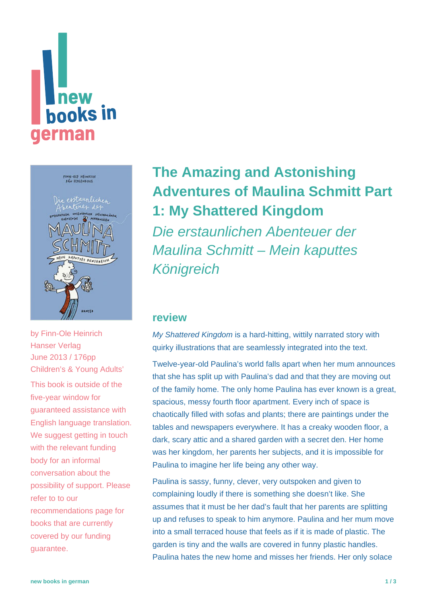





by [Finn-Ole Heinrich](https://www.new-books-in-german.com/recommendations/?searchInput=Finn-Ole%20Heinrich) Hanser Verlag June 2013 / 176pp Children's & Young Adults'

This book is outside of the five-year window for guaranteed assistance with English language translation. We suggest getting in touch with the relevant funding body for an informal conversation about the possibility of support. Please refer to to our [recommendations page](https://www.new-books-in-german.com/recommendations) for books that are currently covered by our funding guarantee.

## **[The Amazing and Astonishing](https://www.new-books-in-german.com/recommendations/the-amazing-and-astonishing-adventures-of-maulina-schmitt-part-1-my-shattered-kingdom/) [Adventures of Maulina Schmitt Part](https://www.new-books-in-german.com/recommendations/the-amazing-and-astonishing-adventures-of-maulina-schmitt-part-1-my-shattered-kingdom/) [1: My Shattered Kingdom](https://www.new-books-in-german.com/recommendations/the-amazing-and-astonishing-adventures-of-maulina-schmitt-part-1-my-shattered-kingdom/)**

Die erstaunlichen Abenteuer der Maulina Schmitt – Mein kaputtes Königreich

## **review**

My Shattered Kingdom is a hard-hitting, wittily narrated story with quirky illustrations that are seamlessly integrated into the text.

Twelve-year-old Paulina's world falls apart when her mum announces that she has split up with Paulina's dad and that they are moving out of the family home. The only home Paulina has ever known is a great, spacious, messy fourth floor apartment. Every inch of space is chaotically filled with sofas and plants; there are paintings under the tables and newspapers everywhere. It has a creaky wooden floor, a dark, scary attic and a shared garden with a secret den. Her home was her kingdom, her parents her subjects, and it is impossible for Paulina to imagine her life being any other way.

Paulina is sassy, funny, clever, very outspoken and given to complaining loudly if there is something she doesn't like. She assumes that it must be her dad's fault that her parents are splitting up and refuses to speak to him anymore. Paulina and her mum move into a small terraced house that feels as if it is made of plastic. The garden is tiny and the walls are covered in funny plastic handles. Paulina hates the new home and misses her friends. Her only solace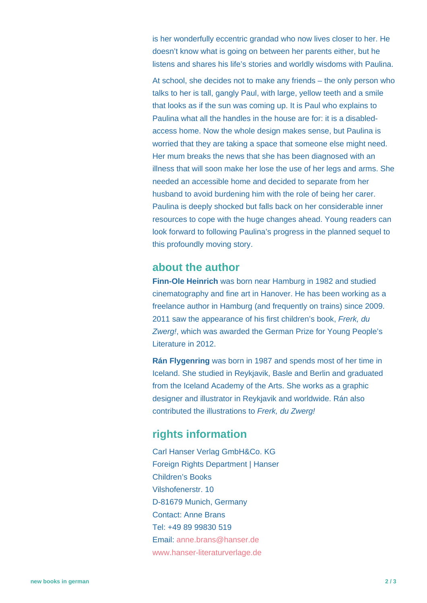is her wonderfully eccentric grandad who now lives closer to her. He doesn't know what is going on between her parents either, but he listens and shares his life's stories and worldly wisdoms with Paulina.

At school, she decides not to make any friends – the only person who talks to her is tall, gangly Paul, with large, yellow teeth and a smile that looks as if the sun was coming up. It is Paul who explains to Paulina what all the handles in the house are for: it is a disabledaccess home. Now the whole design makes sense, but Paulina is worried that they are taking a space that someone else might need. Her mum breaks the news that she has been diagnosed with an illness that will soon make her lose the use of her legs and arms. She needed an accessible home and decided to separate from her husband to avoid burdening him with the role of being her carer. Paulina is deeply shocked but falls back on her considerable inner resources to cope with the huge changes ahead. Young readers can look forward to following Paulina's progress in the planned sequel to this profoundly moving story.

## **about the author**

**Finn-Ole Heinrich** was born near Hamburg in 1982 and studied cinematography and fine art in Hanover. He has been working as a freelance author in Hamburg (and frequently on trains) since 2009. 2011 saw the appearance of his first children's book, Frerk, du Zwerg!, which was awarded the German Prize for Young People's Literature in 2012.

**Rán Flygenring** was born in 1987 and spends most of her time in Iceland. She studied in Reykjavik, Basle and Berlin and graduated from the Iceland Academy of the Arts. She works as a graphic designer and illustrator in Reykjavik and worldwide. Rán also contributed the illustrations to Frerk, du Zwerg!

## **rights information**

Carl Hanser Verlag GmbH&Co. KG Foreign Rights Department | Hanser Children's Books Vilshofenerstr. 10 D-81679 Munich, Germany Contact: Anne Brans Tel: +49 89 99830 519 Email: [anne.brans@hanser.de](mailto:anne.brans@hanser.de) [www.hanser-literaturverlage.de](http://www.hanser-literaturverlage.de/)